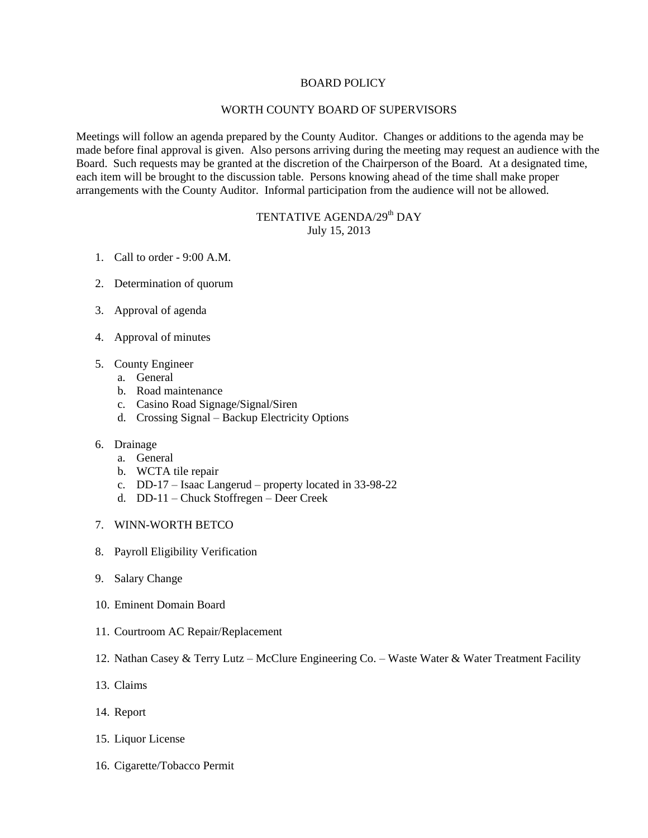### BOARD POLICY

### WORTH COUNTY BOARD OF SUPERVISORS

Meetings will follow an agenda prepared by the County Auditor. Changes or additions to the agenda may be made before final approval is given. Also persons arriving during the meeting may request an audience with the Board. Such requests may be granted at the discretion of the Chairperson of the Board. At a designated time, each item will be brought to the discussion table. Persons knowing ahead of the time shall make proper arrangements with the County Auditor. Informal participation from the audience will not be allowed.

## TENTATIVE AGENDA/29<sup>th</sup> DAY July 15, 2013

- 1. Call to order 9:00 A.M.
- 2. Determination of quorum
- 3. Approval of agenda
- 4. Approval of minutes
- 5. County Engineer
	- a. General
	- b. Road maintenance
	- c. Casino Road Signage/Signal/Siren
	- d. Crossing Signal Backup Electricity Options

## 6. Drainage

- a. General
- b. WCTA tile repair
- c. DD-17 Isaac Langerud property located in 33-98-22
- d. DD-11 Chuck Stoffregen Deer Creek
- 7. WINN-WORTH BETCO
- 8. Payroll Eligibility Verification
- 9. Salary Change
- 10. Eminent Domain Board
- 11. Courtroom AC Repair/Replacement
- 12. Nathan Casey & Terry Lutz McClure Engineering Co. Waste Water & Water Treatment Facility
- 13. Claims
- 14. Report
- 15. Liquor License
- 16. Cigarette/Tobacco Permit